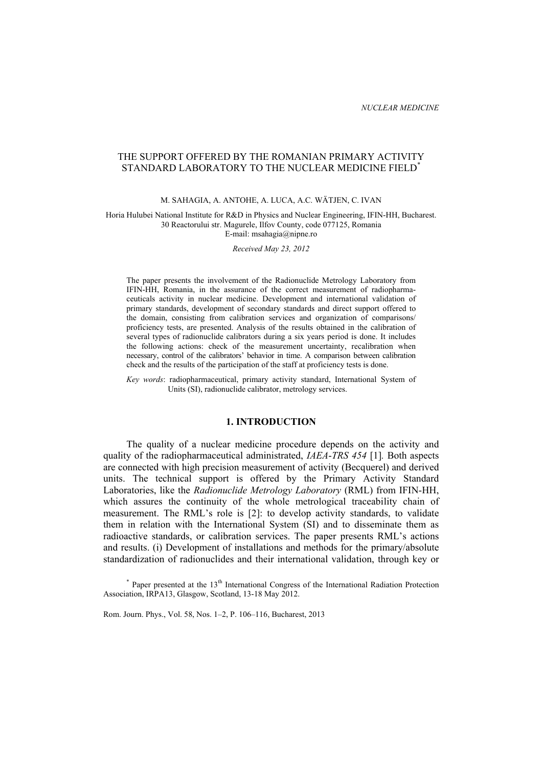# THE SUPPORT OFFERED BY THE ROMANIAN PRIMARY ACTIVITY STANDARD LABORATORY TO THE NUCLEAR MEDICINE FIELD<sup>\*</sup>

### M. SAHAGIA, A. ANTOHE, A. LUCA, A.C. WÄTJEN, C. IVAN

Horia Hulubei National Institute for R&D in Physics and Nuclear Engineering, IFIN-HH, Bucharest. 30 Reactorului str. Magurele, Ilfov County, code 077125, Romania E-mail: msahagia@nipne.ro

*Received May 23, 2012* 

The paper presents the involvement of the Radionuclide Metrology Laboratory from IFIN-HH, Romania, in the assurance of the correct measurement of radiopharmaceuticals activity in nuclear medicine. Development and international validation of primary standards, development of secondary standards and direct support offered to the domain, consisting from calibration services and organization of comparisons/ proficiency tests, are presented. Analysis of the results obtained in the calibration of several types of radionuclide calibrators during a six years period is done. It includes the following actions: check of the measurement uncertainty, recalibration when necessary, control of the calibrators' behavior in time. A comparison between calibration check and the results of the participation of the staff at proficiency tests is done.

*Key words*: radiopharmaceutical, primary activity standard, International System of Units (SI), radionuclide calibrator, metrology services.

### **1. INTRODUCTION**

The quality of a nuclear medicine procedure depends on the activity and quality of the radiopharmaceutical administrated, *IAEA*-*TRS 454* [1]*.* Both aspects are connected with high precision measurement of activity (Becquerel) and derived units. The technical support is offered by the Primary Activity Standard Laboratories, like the *Radionuclide Metrology Laboratory* (RML) from IFIN-HH, which assures the continuity of the whole metrological traceability chain of measurement. The RML's role is [2]: to develop activity standards, to validate them in relation with the International System (SI) and to disseminate them as radioactive standards, or calibration services. The paper presents RML's actions and results. (i) Development of installations and methods for the primary/absolute standardization of radionuclides and their international validation, through key or

 $*$  Paper presented at the 13<sup>th</sup> International Congress of the International Radiation Protection Association, IRPA13, Glasgow, Scotland, 13-18 May 2012.

Rom. Journ. Phys., Vol. 58, Nos. 1–2, P. 106–116, Bucharest, 2013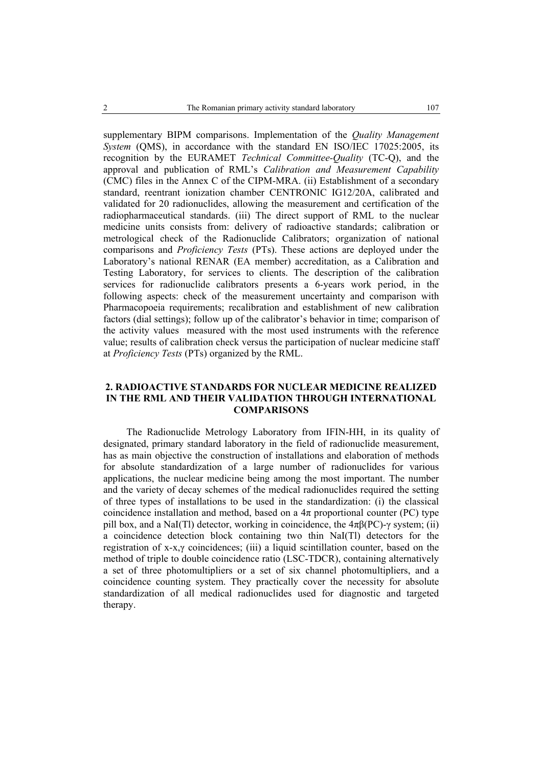supplementary BIPM comparisons. Implementation of the *Quality Management System* (QMS), in accordance with the standard EN ISO/IEC 17025:2005, its recognition by the EURAMET *Technical Committee-Quality* (TC-Q), and the approval and publication of RML's *Calibration and Measurement Capability* (CMC) files in the Annex C of the CIPM-MRA. (ii) Establishment of a secondary standard, reentrant ionization chamber CENTRONIC IG12/20A, calibrated and validated for 20 radionuclides, allowing the measurement and certification of the radiopharmaceutical standards. (iii) The direct support of RML to the nuclear medicine units consists from: delivery of radioactive standards; calibration or metrological check of the Radionuclide Calibrators; organization of national comparisons and *Proficiency Tests* (PTs). These actions are deployed under the Laboratory's national RENAR (EA member) accreditation, as a Calibration and Testing Laboratory, for services to clients. The description of the calibration services for radionuclide calibrators presents a 6-years work period, in the following aspects: check of the measurement uncertainty and comparison with Pharmacopoeia requirements; recalibration and establishment of new calibration factors (dial settings); follow up of the calibrator's behavior in time; comparison of the activity values measured with the most used instruments with the reference value; results of calibration check versus the participation of nuclear medicine staff at *Proficiency Tests* (PTs) organized by the RML.

# **2. RADIOACTIVE STANDARDS FOR NUCLEAR MEDICINE REALIZED IN THE RML AND THEIR VALIDATION THROUGH INTERNATIONAL COMPARISONS**

The Radionuclide Metrology Laboratory from IFIN-HH, in its quality of designated, primary standard laboratory in the field of radionuclide measurement, has as main objective the construction of installations and elaboration of methods for absolute standardization of a large number of radionuclides for various applications, the nuclear medicine being among the most important. The number and the variety of decay schemes of the medical radionuclides required the setting of three types of installations to be used in the standardization: (i) the classical coincidence installation and method, based on a  $4\pi$  proportional counter (PC) type pill box, and a NaI(Tl) detector, working in coincidence, the  $4\pi\beta$ (PC)- $\gamma$  system; (ii) a coincidence detection block containing two thin NaI(Tl) detectors for the registration of x-x,γ coincidences; (iii) a liquid scintillation counter, based on the method of triple to double coincidence ratio (LSC-TDCR), containing alternatively a set of three photomultipliers or a set of six channel photomultipliers, and a coincidence counting system. They practically cover the necessity for absolute standardization of all medical radionuclides used for diagnostic and targeted therapy.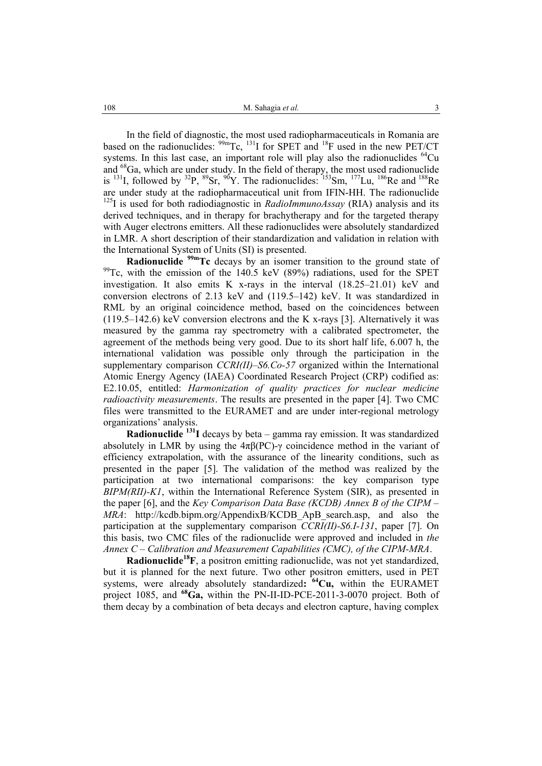In the field of diagnostic, the most used radiopharmaceuticals in Romania are based on the radionuclides:  $99m$ Tc,  $131$ I for SPET and  $18$ F used in the new PET/CT systems. In this last case, an important role will play also the radionuclides  $^{64}Cu$ and <sup>68</sup>Ga, which are under study. In the field of therapy, the most used radionuclide is <sup>131</sup>I, followed by <sup>32</sup>P, <sup>89</sup>Sr, <sup>90</sup>Y. The radionuclides: <sup>153</sup>Sm, <sup>177</sup>Lu, <sup>186</sup>Re and <sup>188</sup>Re are under study at the radiopharmaceutical unit from IFIN-HH. The radionuclide <sup>125</sup>I is used for both radiodiagnostic in *RadioImmunoAssay* (RIA) analysis and its derived techniques, and in therapy for brachytherapy and for the targeted therapy with Auger electrons emitters. All these radionuclides were absolutely standardized in LMR. A short description of their standardization and validation in relation with the International System of Units (SI) is presented.

**Radionuclide** <sup>99m</sup>Tc decays by an isomer transition to the ground state of  $99$ <sup>O</sup>Tc, with the emission of the 140.5 keV (89%) radiations, used for the SPET investigation. It also emits K x-rays in the interval (18.25–21.01) keV and conversion electrons of 2.13 keV and (119.5–142) keV. It was standardized in RML by an original coincidence method, based on the coincidences between (119.5–142.6) keV conversion electrons and the K x-rays [3]. Alternatively it was measured by the gamma ray spectrometry with a calibrated spectrometer, the agreement of the methods being very good. Due to its short half life, 6.007 h, the international validation was possible only through the participation in the supplementary comparison *CCRI(II)–S6.Co-57* organized within the International Atomic Energy Agency (IAEA) Coordinated Research Project (CRP) codified as: E2.10.05, entitled: *Harmonization of quality practices for nuclear medicine radioactivity measurements*. The results are presented in the paper [4]. Two CMC files were transmitted to the EURAMET and are under inter-regional metrology organizations' analysis.

**Radionuclide 131I** decays by beta – gamma ray emission. It was standardized absolutely in LMR by using the  $4\pi\beta$ (PC)-γ coincidence method in the variant of efficiency extrapolation, with the assurance of the linearity conditions, such as presented in the paper [5]. The validation of the method was realized by the participation at two international comparisons: the key comparison type *BIPM(RII)-K1*, within the International Reference System (SIR), as presented in the paper [6], and the *Key Comparison Data Base (KCDB) Annex B of the CIPM – MRA*: http://kcdb.bipm.org/AppendixB/KCDB\_ApB\_search.asp, and also the participation at the supplementary comparison *CCRI(II)-S6.I-131*, paper [7]. On this basis, two CMC files of the radionuclide were approved and included in *the Annex C – Calibration and Measurement Capabilities (CMC), of the CIPM-MRA*.

**Radionuclide18F**, a positron emitting radionuclide, was not yet standardized, but it is planned for the next future. Two other positron emitters, used in PET systems, were already absolutely standardized: <sup>64</sup>Cu, within the EURAMET project 1085, and **68Ga,** within the PN-II-ID-PCE-2011-3-0070 project. Both of them decay by a combination of beta decays and electron capture, having complex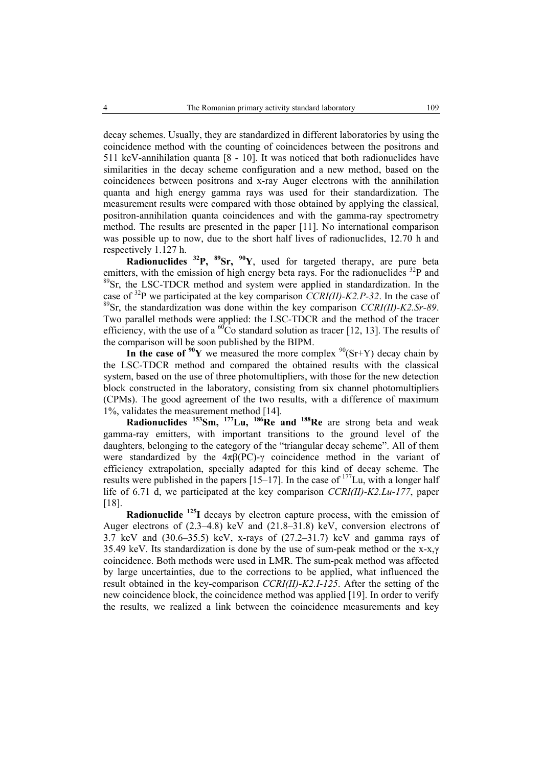decay schemes. Usually, they are standardized in different laboratories by using the coincidence method with the counting of coincidences between the positrons and 511 keV-annihilation quanta [8 - 10]. It was noticed that both radionuclides have similarities in the decay scheme configuration and a new method, based on the coincidences between positrons and x-ray Auger electrons with the annihilation quanta and high energy gamma rays was used for their standardization. The measurement results were compared with those obtained by applying the classical, positron-annihilation quanta coincidences and with the gamma-ray spectrometry method. The results are presented in the paper [11]. No international comparison was possible up to now, due to the short half lives of radionuclides, 12.70 h and respectively 1.127 h.

**Radionuclides** <sup>32</sup>P, <sup>89</sup>Sr, <sup>90</sup>Y, used for targeted therapy, are pure beta emitters, with the emission of high energy beta rays. For the radionuclides  $^{32}P$  and <sup>89</sup>Sr, the LSC-TDCR method and system were applied in standardization. In the case of 32P we participated at the key comparison *CCRI(II)-K2.P-32*. In the case of 89Sr, the standardization was done within the key comparison *CCRI(II)-K2.Sr-89*. Two parallel methods were applied: the LSC-TDCR and the method of the tracer efficiency, with the use of a  ${}^{60}Co$  standard solution as tracer [12, 13]. The results of the comparison will be soon published by the BIPM.

In the case of  $90Y$  we measured the more complex  $90(Sr+Y)$  decay chain by the LSC-TDCR method and compared the obtained results with the classical system, based on the use of three photomultipliers, with those for the new detection block constructed in the laboratory, consisting from six channel photomultipliers (CPMs). The good agreement of the two results, with a difference of maximum 1%, validates the measurement method [14].

**Radionuclides 153Sm, 177Lu, 186Re and 188Re** are strong beta and weak gamma-ray emitters, with important transitions to the ground level of the daughters, belonging to the category of the "triangular decay scheme". All of them were standardized by the  $4\pi\beta$ (PC)-γ coincidence method in the variant of efficiency extrapolation, specially adapted for this kind of decay scheme. The results were published in the papers  $[15–17]$ . In the case of  $177$ Lu, with a longer half life of 6.71 d, we participated at the key comparison *CCRI(II)-K2.Lu-177*, paper [18].

**Radionuclide 125I** decays by electron capture process, with the emission of Auger electrons of (2.3–4.8) keV and (21.8–31.8) keV, conversion electrons of 3.7 keV and (30.6–35.5) keV, x-rays of (27.2–31.7) keV and gamma rays of 35.49 keV. Its standardization is done by the use of sum-peak method or the x-x,γ coincidence. Both methods were used in LMR. The sum-peak method was affected by large uncertainties, due to the corrections to be applied, what influenced the result obtained in the key-comparison *CCRI(II)-K2.I-125*. After the setting of the new coincidence block, the coincidence method was applied [19]. In order to verify the results, we realized a link between the coincidence measurements and key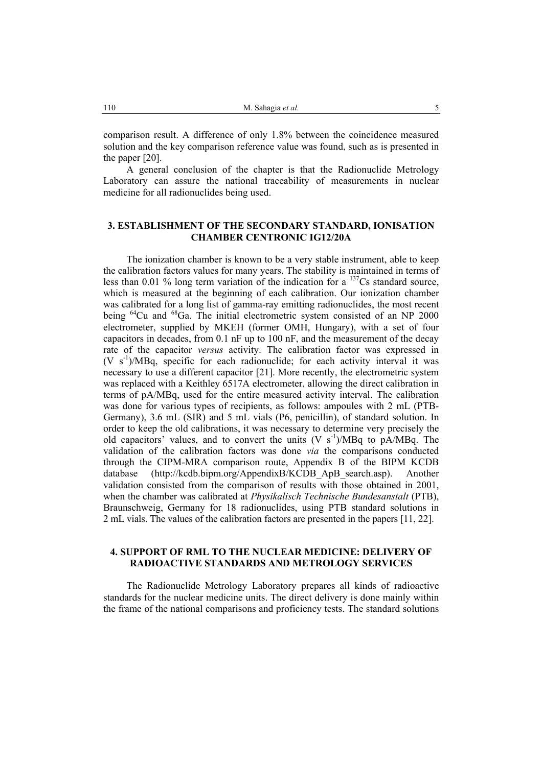comparison result. A difference of only 1.8% between the coincidence measured solution and the key comparison reference value was found, such as is presented in the paper [20].

A general conclusion of the chapter is that the Radionuclide Metrology Laboratory can assure the national traceability of measurements in nuclear medicine for all radionuclides being used.

# **3. ESTABLISHMENT OF THE SECONDARY STANDARD, IONISATION CHAMBER CENTRONIC IG12/20A**

The ionization chamber is known to be a very stable instrument, able to keep the calibration factors values for many years. The stability is maintained in terms of less than 0.01 % long term variation of the indication for a  $^{137}Cs$  standard source, which is measured at the beginning of each calibration. Our ionization chamber was calibrated for a long list of gamma-ray emitting radionuclides, the most recent being <sup>64</sup>Cu and <sup>68</sup>Ga. The initial electrometric system consisted of an NP 2000 electrometer, supplied by MKEH (former OMH, Hungary), with a set of four capacitors in decades, from 0.1 nF up to 100 nF, and the measurement of the decay rate of the capacitor *versus* activity. The calibration factor was expressed in  $(V \text{ s}^{-1})/MBq$ , specific for each radionuclide; for each activity interval it was necessary to use a different capacitor [21]. More recently, the electrometric system was replaced with a Keithley 6517A electrometer, allowing the direct calibration in terms of pA/MBq, used for the entire measured activity interval. The calibration was done for various types of recipients, as follows: ampoules with 2 mL (PTB-Germany), 3.6 mL (SIR) and 5 mL vials (P6, penicillin), of standard solution. In order to keep the old calibrations, it was necessary to determine very precisely the old capacitors' values, and to convert the units  $(V s<sup>-1</sup>)/MBq$  to pA/MBq. The validation of the calibration factors was done *via* the comparisons conducted through the CIPM-MRA comparison route, Appendix B of the BIPM KCDB database (http://kcdb.bipm.org/AppendixB/KCDB\_ApB\_search.asp). Another validation consisted from the comparison of results with those obtained in 2001, when the chamber was calibrated at *Physikalisch Technische Bundesanstalt* (PTB), Braunschweig, Germany for 18 radionuclides, using PTB standard solutions in 2 mL vials. The values of the calibration factors are presented in the papers [11, 22].

# **4. SUPPORT OF RML TO THE NUCLEAR MEDICINE: DELIVERY OF RADIOACTIVE STANDARDS AND METROLOGY SERVICES**

The Radionuclide Metrology Laboratory prepares all kinds of radioactive standards for the nuclear medicine units. The direct delivery is done mainly within the frame of the national comparisons and proficiency tests. The standard solutions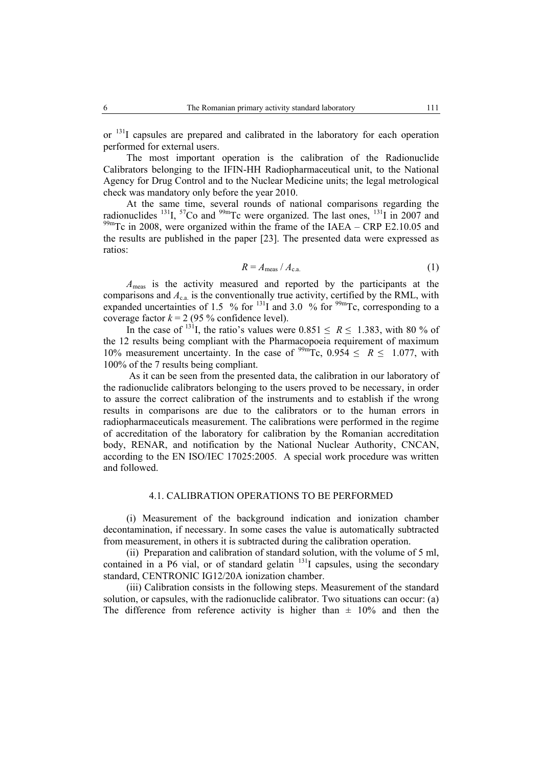or <sup>131</sup>I capsules are prepared and calibrated in the laboratory for each operation performed for external users.

The most important operation is the calibration of the Radionuclide Calibrators belonging to the IFIN-HH Radiopharmaceutical unit, to the National Agency for Drug Control and to the Nuclear Medicine units; the legal metrological check was mandatory only before the year 2010.

At the same time, several rounds of national comparisons regarding the radionuclides  $^{131}$ ,  $^{57}$ Co and  $^{99m}$ Tc were organized. The last ones,  $^{131}$ I in 2007 and  $^{99m}$ Tc in 2008, were organized within the frame of the IAEA – CRP E2.10.05 and the results are published in the paper [23]. The presented data were expressed as ratios:

$$
R = A_{\text{meas}} / A_{\text{c.a.}} \tag{1}
$$

*A*meas is the activity measured and reported by the participants at the comparisons and  $A_{ca}$  is the conventionally true activity, certified by the RML, with expanded uncertainties of  $1.5\%$  for  $^{131}I$  and  $3.0\%$  for  $^{99m}Te$ , corresponding to a coverage factor  $k = 2$  (95 % confidence level).

In the case of <sup>131</sup>I, the ratio's values were  $0.851 \le R \le 1.383$ , with 80 % of the 12 results being compliant with the Pharmacopoeia requirement of maximum 10% measurement uncertainty. In the case of  $^{99m}$ Tc, 0.954  $\leq R \leq 1.077$ , with 100% of the 7 results being compliant.

 As it can be seen from the presented data, the calibration in our laboratory of the radionuclide calibrators belonging to the users proved to be necessary, in order to assure the correct calibration of the instruments and to establish if the wrong results in comparisons are due to the calibrators or to the human errors in radiopharmaceuticals measurement. The calibrations were performed in the regime of accreditation of the laboratory for calibration by the Romanian accreditation body, RENAR, and notification by the National Nuclear Authority, CNCAN, according to the EN ISO/IEC 17025:2005*.* A special work procedure was written and followed.

## 4.1. CALIBRATION OPERATIONS TO BE PERFORMED

(i) Measurement of the background indication and ionization chamber decontamination, if necessary. In some cases the value is automatically subtracted from measurement, in others it is subtracted during the calibration operation.

(ii) Preparation and calibration of standard solution, with the volume of 5 ml, contained in a P6 vial, or of standard gelatin  $^{131}I$  capsules, using the secondary standard, CENTRONIC IG12/20A ionization chamber.

(iii) Calibration consists in the following steps. Measurement of the standard solution, or capsules, with the radionuclide calibrator. Two situations can occur: (a) The difference from reference activity is higher than  $\pm$  10% and then the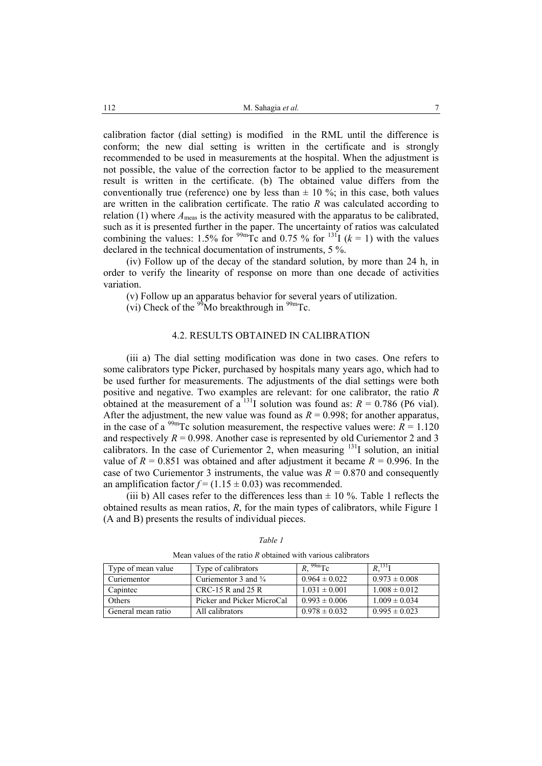calibration factor (dial setting) is modified in the RML until the difference is conform; the new dial setting is written in the certificate and is strongly recommended to be used in measurements at the hospital. When the adjustment is not possible, the value of the correction factor to be applied to the measurement result is written in the certificate. (b) The obtained value differs from the conventionally true (reference) one by less than  $\pm$  10 %; in this case, both values are written in the calibration certificate. The ratio *R* was calculated according to relation (1) where  $A_{\text{meas}}$  is the activity measured with the apparatus to be calibrated, such as it is presented further in the paper. The uncertainty of ratios was calculated combining the values: 1.5% for <sup>99m</sup>Tc and 0.75 % for <sup>131</sup>I ( $k = 1$ ) with the values declared in the technical documentation of instruments, 5 %.

(iv) Follow up of the decay of the standard solution, by more than 24 h, in order to verify the linearity of response on more than one decade of activities variation.

(v) Follow up an apparatus behavior for several years of utilization.

(vi) Check of the  $\rm{^{99}Mo}$  breakthrough in  $\rm{^{99m}Tc}$ .

# 4.2. RESULTS OBTAINED IN CALIBRATION

(iii a) The dial setting modification was done in two cases. One refers to some calibrators type Picker, purchased by hospitals many years ago, which had to be used further for measurements. The adjustments of the dial settings were both positive and negative. Two examples are relevant: for one calibrator, the ratio *R*  obtained at the measurement of a <sup>131</sup>I solution was found as:  $R = 0.786$  (P6 vial). After the adjustment, the new value was found as  $R = 0.998$ ; for another apparatus, in the case of a <sup>99m</sup>Tc solution measurement, the respective values were:  $R = 1.120$ and respectively  $R = 0.998$ . Another case is represented by old Curiementor 2 and 3 calibrators. In the case of Curiementor 2, when measuring  $131$  solution, an initial value of  $R = 0.851$  was obtained and after adjustment it became  $R = 0.996$ . In the case of two Curiementor 3 instruments, the value was  $R = 0.870$  and consequently an amplification factor  $f = (1.15 \pm 0.03)$  was recommended.

(iii b) All cases refer to the differences less than  $\pm$  10 %. Table 1 reflects the obtained results as mean ratios, *R*, for the main types of calibrators, while Figure 1 (A and B) presents the results of individual pieces.

| Type of mean value | Type of calibrators             | $\sqrt{99m}Tc$    | $R,$ <sup>131</sup> I |
|--------------------|---------------------------------|-------------------|-----------------------|
| Curiementor        | Curiementor 3 and $\frac{3}{4}$ | $0.964 \pm 0.022$ | $0.973 \pm 0.008$     |
| Capintec           | $CRC-15 R$ and 25 R             | $1.031 \pm 0.001$ | $1.008 \pm 0.012$     |
| Others             | Picker and Picker MicroCal      | $0.993 \pm 0.006$ | $1.009 \pm 0.034$     |
| General mean ratio | All calibrators                 | $0.978 \pm 0.032$ | $0.995 \pm 0.023$     |

*Table 1* 

Mean values of the ratio *R* obtained with various calibrators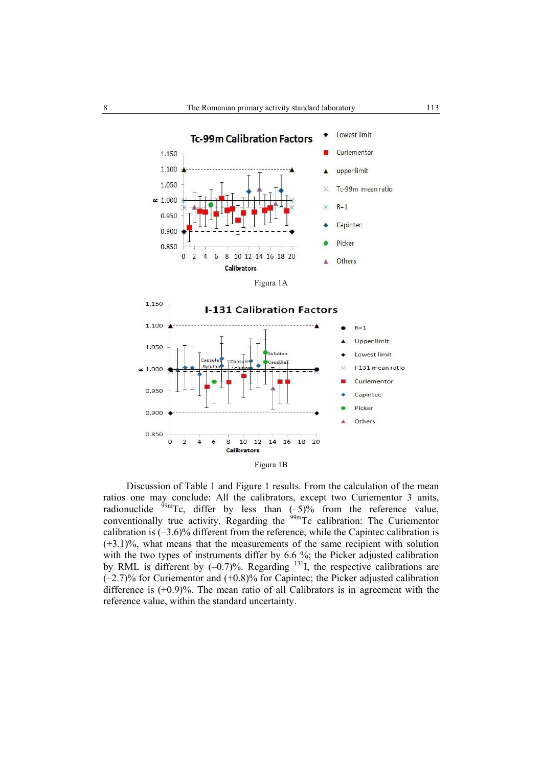



Discussion of Table 1 and Figure 1 results. From the calculation of the mean ratios one may conclude: All the calibrators, except two Curiementor 3 units, radionuclide  $^{99m}$ Tc, differ by less than  $(-5)$ % from the reference value, conventionally true activity. Regarding the <sup>99m</sup>Tc calibration: The Curiementor calibration is  $(-3.6)$ % different from the reference, while the Capintec calibration is (+3.1)%, what means that the measurements of the same recipient with solution with the two types of instruments differ by 6.6 %; the Picker adjusted calibration by RML is different by  $(-0.7)$ %. Regarding  $^{131}$ I, the respective calibrations are (–2.7)% for Curiementor and (+0.8)% for Capintec; the Picker adjusted calibration difference is  $(+0.9)$ %. The mean ratio of all Calibrators is in agreement with the reference value, within the standard uncertainty.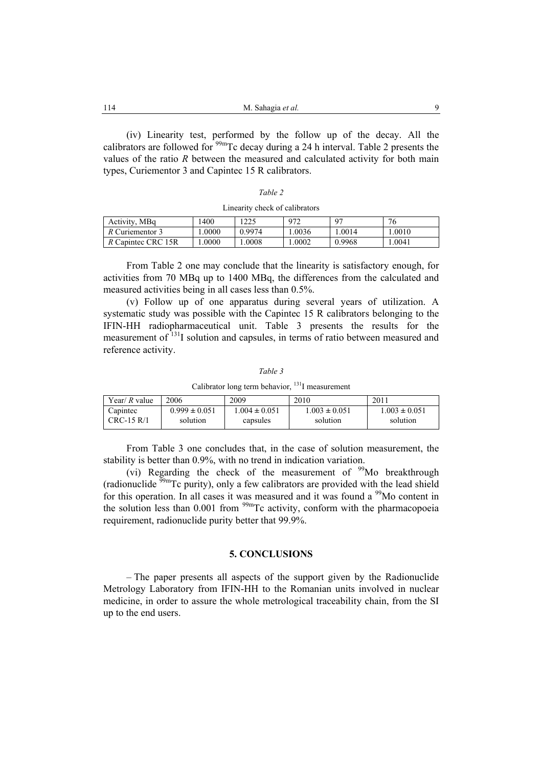| 114 | M. Sahagia et al. |  |
|-----|-------------------|--|
|-----|-------------------|--|

(iv) Linearity test, performed by the follow up of the decay. All the calibrators are followed for  $99m$ Tc decay during a 24 h interval. Table 2 presents the values of the ratio *R* between the measured and calculated activity for both main types, Curiementor 3 and Capintec 15 R calibrators.

#### Linearity check of calibrators

| Activity, MBq      | .400  | 1225   | 972   | 07     | 76     |
|--------------------|-------|--------|-------|--------|--------|
| R Curiementor 3    | .0000 | 0.9974 | .0036 | .0014  | .0010  |
| R Capintec CRC 15R | .0000 | .0008  | .0002 | 0.9968 | 1.0041 |

From Table 2 one may conclude that the linearity is satisfactory enough, for activities from 70 MBq up to 1400 MBq, the differences from the calculated and measured activities being in all cases less than 0.5%.

(v) Follow up of one apparatus during several years of utilization. A systematic study was possible with the Capintec 15 R calibrators belonging to the IFIN-HH radiopharmaceutical unit. Table 3 presents the results for the measurement of <sup>131</sup>I solution and capsules, in terms of ratio between measured and reference activity.

|--|--|

Calibrator long term behavior, 131I measurement

| Year/ $R$ value | 2006              | 2009             | 2010              | 2011              |
|-----------------|-------------------|------------------|-------------------|-------------------|
| Capintec        | $0.999 \pm 0.051$ | $.004 \pm 0.051$ | $1.003 \pm 0.051$ | $1.003 \pm 0.051$ |
| CRC-15 R/1      | solution          | capsules         | solution          | solution          |

From Table 3 one concludes that, in the case of solution measurement, the stability is better than 0.9%, with no trend in indication variation.

(vi) Regarding the check of the measurement of  $99$ Mo breakthrough (radionuclide 99mTc purity), only a few calibrators are provided with the lead shield for this operation. In all cases it was measured and it was found a  $\frac{99}{9}$ Mo content in the solution less than  $0.001$  from  $\frac{99m}{Tc}$  activity, conform with the pharmacopoeia requirement, radionuclide purity better that 99.9%.

## **5. CONCLUSIONS**

– The paper presents all aspects of the support given by the Radionuclide Metrology Laboratory from IFIN-HH to the Romanian units involved in nuclear medicine, in order to assure the whole metrological traceability chain, from the SI up to the end users.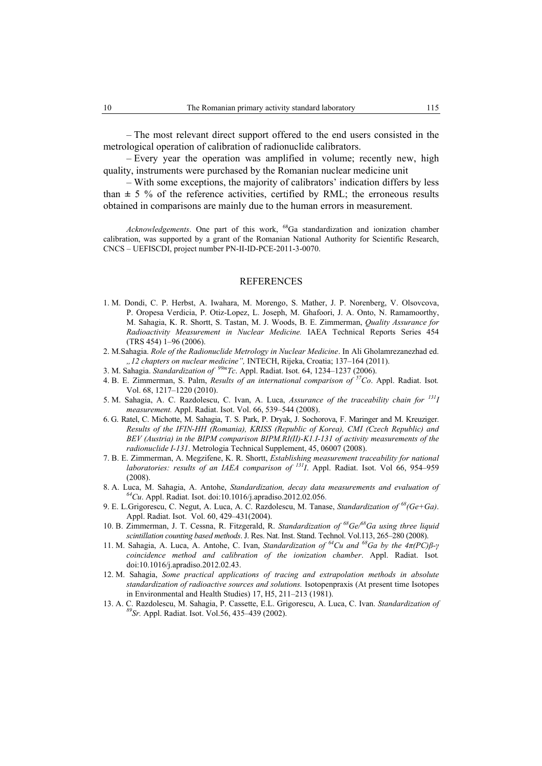– The most relevant direct support offered to the end users consisted in the metrological operation of calibration of radionuclide calibrators.

– Every year the operation was amplified in volume; recently new, high quality, instruments were purchased by the Romanian nuclear medicine unit

– With some exceptions, the majority of calibrators' indication differs by less than  $\pm$  5 % of the reference activities, certified by RML; the erroneous results obtained in comparisons are mainly due to the human errors in measurement.

*Acknowledgements*. One part of this work, 68Ga standardization and ionization chamber calibration, was supported by a grant of the Romanian National Authority for Scientific Research, CNCS – UEFISCDI, project number PN-II-ID-PCE-2011-3-0070.

#### REFERENCES

- 1. M. Dondi, C. P. Herbst, A. Iwahara, M. Morengo, S. Mather, J. P. Norenberg, V. Olsovcova, P. Oropesa Verdicia, P. Otiz-Lopez, L. Joseph, M. Ghafoori, J. A. Onto, N. Ramamoorthy, M. Sahagia, K. R. Shortt, S. Tastan, M. J. Woods, B. E. Zimmerman, *Quality Assurance for Radioactivity Measurement in Nuclear Medicine.* IAEA Technical Reports Series 454 (TRS 454) 1–96 (2006).
- 2. M.Sahagia. *Role of the Radionuclide Metrology in Nuclear Medicine*. In Ali Gholamrezanezhad ed. *"12 chapters on nuclear medicine",* INTECH, Rijeka, Croatia; 137–164 (2011).
- 3. M. Sahagia. *Standardization of 99mTc*. Appl. Radiat. Isot. 64, 1234–1237 (2006).
- 4. B. E. Zimmerman, S. Palm, *Results of an international comparison of 57Co*. Appl. Radiat. Isot*.* Vol. 68, 1217–1220 (2010).
- 5. M. Sahagia, A. C. Razdolescu, C. Ivan, A. Luca, *Assurance of the traceability chain for 131I measurement.* Appl. Radiat. Isot. Vol. 66, 539–544 (2008).
- 6. G. Ratel, C. Michotte, M. Sahagia, T. S. Park, P. Dryak, J. Sochorova, F. Maringer and M. Kreuziger. *Results of the IFIN-HH (Romania), KRISS (Republic of Korea), CMI (Czech Republic) and BEV (Austria) in the BIPM comparison BIPM.RI(II)-K1.I-131 of activity measurements of the radionuclide I-131*. Metrologia Technical Supplement, 45, 06007 (2008).
- 7. B. E. Zimmerman, A. Megzifene, K. R. Shortt, *Establishing measurement traceability for national laboratories: results of an IAEA comparison of <sup>131</sup>I*. Appl. Radiat. Isot. Vol 66, 954–959 (2008).
- 8. A. Luca, M. Sahagia, A. Antohe, *Standardization, decay data measurements and evaluation of 64Cu*. Appl. Radiat. Isot. doi:10.1016/j.apradiso.2012.02.056.
- 9. E. L.Grigorescu, C. Negut, A. Luca, A. C. Razdolescu, M. Tanase, *Standardization of 68(Ge+Ga)*. Appl. Radiat. Isot. Vol. 60, 429–431(2004).
- 10. B. Zimmerman, J. T. Cessna, R. Fitzgerald, R. *Standardization of 68Ge/68Ga using three liquid scintillation counting based methods*. J. Res. Nat. Inst. Stand. Technol. Vol.113, 265–280 (2008).
- 11. M. Sahagia, A. Luca, A. Antohe, C. Ivan, *Standardization of 64Cu and 68Ga by the 4π(PC)β-γ coincidence method and calibration of the ionization chamber*. Appl. Radiat. Isot*.* doi:10.1016/j.apradiso.2012.02.43.
- 12. M. Sahagia, *Some practical applications of tracing and extrapolation methods in absolute standardization of radioactive sources and solutions.* Isotopenpraxis (At present time Isotopes in Environmental and Health Studies) 17, H5, 211–213 (1981).
- 13. A. C. Razdolescu, M. Sahagia, P. Cassette, E.L. Grigorescu, A. Luca, C. Ivan. *Standardization of 89Sr.* Appl. Radiat. Isot. Vol.56, 435–439 (2002).